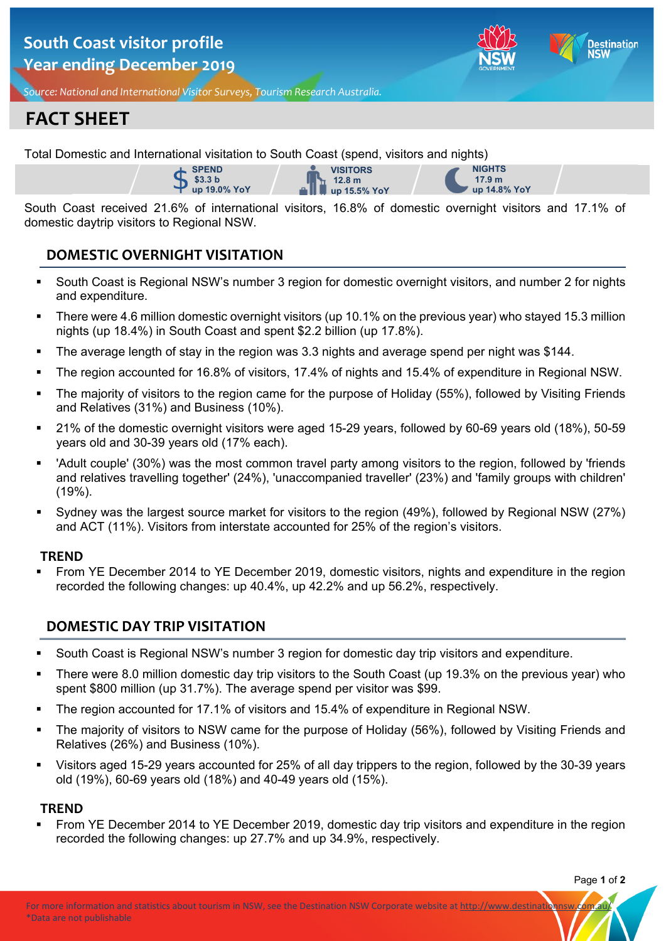## **South Coast visitor profile Year ending December 2019**



*Source: National and International Visitor Surveys, Tourism Research Australia.*

# **FACT SHEET**

Total Domestic and International visitation to South Coast (spend, visitors and nights)





**NIGHTS 17.9 m up 14.8% YoY**

South Coast received 21.6% of international visitors, 16.8% of domestic overnight visitors and 17.1% of domestic daytrip visitors to Regional NSW.

## **DOMESTIC OVERNIGHT VISITATION**

- South Coast is Regional NSW's number 3 region for domestic overnight visitors, and number 2 for nights and expenditure.
- There were 4.6 million domestic overnight visitors (up 10.1% on the previous year) who stayed 15.3 million nights (up 18.4%) in South Coast and spent \$2.2 billion (up 17.8%).
- The average length of stay in the region was 3.3 nights and average spend per night was \$144.
- The region accounted for 16.8% of visitors, 17.4% of nights and 15.4% of expenditure in Regional NSW.
- The majority of visitors to the region came for the purpose of Holiday (55%), followed by Visiting Friends and Relatives (31%) and Business (10%).
- 21% of the domestic overnight visitors were aged 15-29 years, followed by 60-69 years old (18%), 50-59 years old and 30-39 years old (17% each).
- 'Adult couple' (30%) was the most common travel party among visitors to the region, followed by 'friends and relatives travelling together' (24%), 'unaccompanied traveller' (23%) and 'family groups with children' (19%).
- Sydney was the largest source market for visitors to the region (49%), followed by Regional NSW (27%) and ACT (11%). Visitors from interstate accounted for 25% of the region's visitors.

### **TREND**

 From YE December 2014 to YE December 2019, domestic visitors, nights and expenditure in the region recorded the following changes: up 40.4%, up 42.2% and up 56.2%, respectively.

## **DOMESTIC DAY TRIP VISITATION**

- South Coast is Regional NSW's number 3 region for domestic day trip visitors and expenditure.
- There were 8.0 million domestic day trip visitors to the South Coast (up 19.3% on the previous year) who spent \$800 million (up 31.7%). The average spend per visitor was \$99.
- The region accounted for 17.1% of visitors and 15.4% of expenditure in Regional NSW.
- The majority of visitors to NSW came for the purpose of Holiday (56%), followed by Visiting Friends and Relatives (26%) and Business (10%).
- Visitors aged 15-29 years accounted for 25% of all day trippers to the region, followed by the 30-39 years old (19%), 60-69 years old (18%) and 40-49 years old (15%).

### **TREND**

 From YE December 2014 to YE December 2019, domestic day trip visitors and expenditure in the region recorded the following changes: up 27.7% and up 34.9%, respectively.

Page **1** of **2**